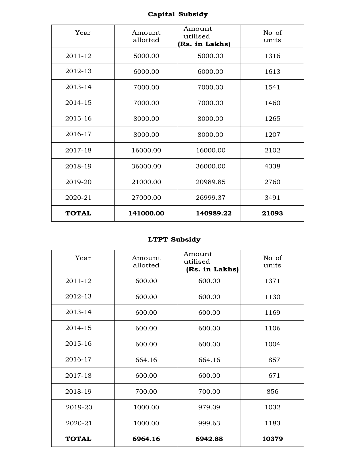# **Capital Subsidy**

| Year         | Amount<br>allotted | Amount<br>utilised<br>(Rs. in Lakhs) | No of<br>units |
|--------------|--------------------|--------------------------------------|----------------|
| 2011-12      | 5000.00            | 5000.00                              | 1316           |
| 2012-13      | 6000.00            | 6000.00                              | 1613           |
| 2013-14      | 7000.00            | 7000.00                              | 1541           |
| 2014-15      | 7000.00            | 7000.00                              | 1460           |
| 2015-16      | 8000.00            | 8000.00                              | 1265           |
| 2016-17      | 8000.00            | 8000.00                              | 1207           |
| 2017-18      | 16000.00           | 16000.00                             | 2102           |
| 2018-19      | 36000.00           | 36000.00                             | 4338           |
| 2019-20      | 21000.00           | 20989.85                             | 2760           |
| 2020-21      | 27000.00           | 26999.37                             | 3491           |
| <b>TOTAL</b> | 141000.00          | 140989.22                            | 21093          |

## **LTPT Subsidy**

| Year         | Amount<br>allotted | Amount<br>utilised<br>(Rs. in Lakhs) | No of<br>units |
|--------------|--------------------|--------------------------------------|----------------|
| 2011-12      | 600.00             | 600.00                               | 1371           |
| 2012-13      | 600.00             | 600.00                               | 1130           |
| 2013-14      | 600.00             | 600.00                               | 1169           |
| 2014-15      | 600.00             | 600.00                               | 1106           |
| 2015-16      | 600.00             | 600.00                               | 1004           |
| 2016-17      | 664.16             | 664.16                               | 857            |
| 2017-18      | 600.00             | 600.00                               | 671            |
| 2018-19      | 700.00             | 700.00                               | 856            |
| 2019-20      | 1000.00            | 979.09                               | 1032           |
| 2020-21      | 1000.00            | 999.63                               | 1183           |
| <b>TOTAL</b> | 6964.16            | 6942.88                              | 10379          |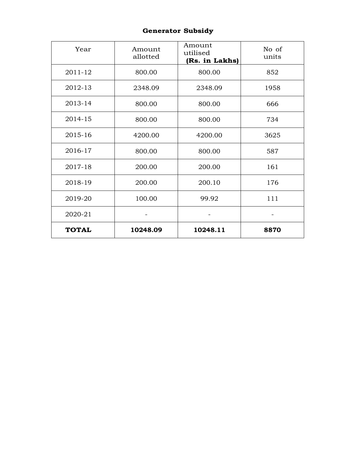#### **Generator Subsidy**

| Year         | Amount<br>allotted | Amount<br>utilised<br>(Rs. in Lakhs) | No of<br>units |
|--------------|--------------------|--------------------------------------|----------------|
| 2011-12      | 800.00             | 800.00                               | 852            |
| 2012-13      | 2348.09            | 2348.09                              | 1958           |
| 2013-14      | 800.00             | 800.00                               | 666            |
| 2014-15      | 800.00             | 800.00                               | 734            |
| 2015-16      | 4200.00            | 4200.00                              | 3625           |
| 2016-17      | 800.00             | 800.00                               | 587            |
| 2017-18      | 200.00             | 200.00                               | 161            |
| 2018-19      | 200.00             | 200.10                               | 176            |
| 2019-20      | 100.00             | 99.92                                | 111            |
| 2020-21      |                    |                                      |                |
| <b>TOTAL</b> | 10248.09           | 10248.11                             | 8870           |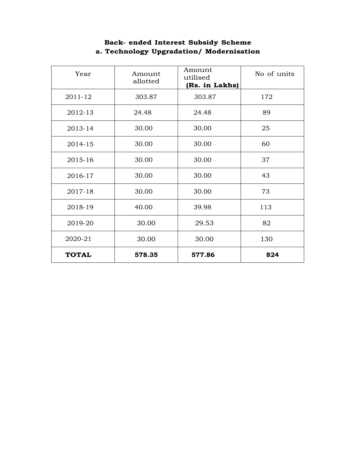| Year         | Amount<br>allotted | Amount<br>utilised<br>(Rs. in Lakhs) | No of units |
|--------------|--------------------|--------------------------------------|-------------|
| 2011-12      | 303.87             | 303.87                               | 172         |
| 2012-13      | 24.48              | 24.48                                | 89          |
| 2013-14      | 30.00              | 30.00                                | 25          |
| 2014-15      | 30.00              | 30.00                                | 60          |
| 2015-16      | 30.00              | 30.00                                | 37          |
| 2016-17      | 30.00              | 30.00                                | 43          |
| 2017-18      | 30.00              | 30.00                                | 73          |
| 2018-19      | 40.00              | 39.98                                | 113         |
| 2019-20      | 30.00              | 29.53                                | 82          |
| 2020-21      | 30.00              | 30.00                                | 130         |
| <b>TOTAL</b> | 578.35             | 577.86                               | 824         |

## **Back- ended Interest Subsidy Scheme a. Technology Upgradation/ Modernisation**